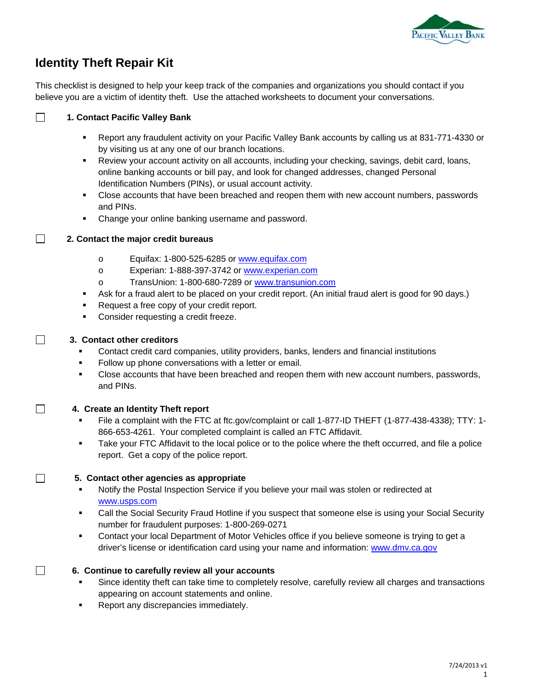

# **Identity Theft Repair Kit**

This checklist is designed to help your keep track of the companies and organizations you should contact if you believe you are a victim of identity theft. Use the attached worksheets to document your conversations.

#### $\Box$ **1. Contact Pacific Valley Bank**

- Report any fraudulent activity on your Pacific Valley Bank accounts by calling us at 831-771-4330 or by visiting us at any one of our branch locations.
- Review your account activity on all accounts, including your checking, savings, debit card, loans, online banking accounts or bill pay, and look for changed addresses, changed Personal Identification Numbers (PINs), or usual account activity.
- Close accounts that have been breached and reopen them with new account numbers, passwords and PINs.
- Change your online banking username and password.

#### $\Box$ **2. Contact the major credit bureaus**

- o Equifax: 1-800-525-6285 or www.equifax.com
- o Experian: 1-888-397-3742 or www.experian.com
- o TransUnion: 1-800-680-7289 or www.transunion.com
- Ask for a fraud alert to be placed on your credit report. (An initial fraud alert is good for 90 days.)
- Request a free copy of your credit report.
- **EXECONSIDER THE CONSIDER FRAGGERY CONSIDER**

#### **3. Contact other creditors**

- Contact credit card companies, utility providers, banks, lenders and financial institutions
- Follow up phone conversations with a letter or email.
- **Close accounts that have been breached and reopen them with new account numbers, passwords,** and PINs.

#### **4. Create an Identity Theft report**

- File a complaint with the FTC at ftc.gov/complaint or call 1-877-ID THEFT (1-877-438-4338); TTY: 1- 866-653-4261. Your completed complaint is called an FTC Affidavit.
- Take your FTC Affidavit to the local police or to the police where the theft occurred, and file a police report. Get a copy of the police report.

#### **5. Contact other agencies as appropriate**

- Notify the Postal Inspection Service if you believe your mail was stolen or redirected at www.usps.com
- Call the Social Security Fraud Hotline if you suspect that someone else is using your Social Security number for fraudulent purposes: 1-800-269-0271
- Contact your local Department of Motor Vehicles office if you believe someone is trying to get a driver's license or identification card using your name and information: www.dmv.ca.gov

#### **6. Continue to carefully review all your accounts**

- Since identity theft can take time to completely resolve, carefully review all charges and transactions appearing on account statements and online.
- **Report any discrepancies immediately.**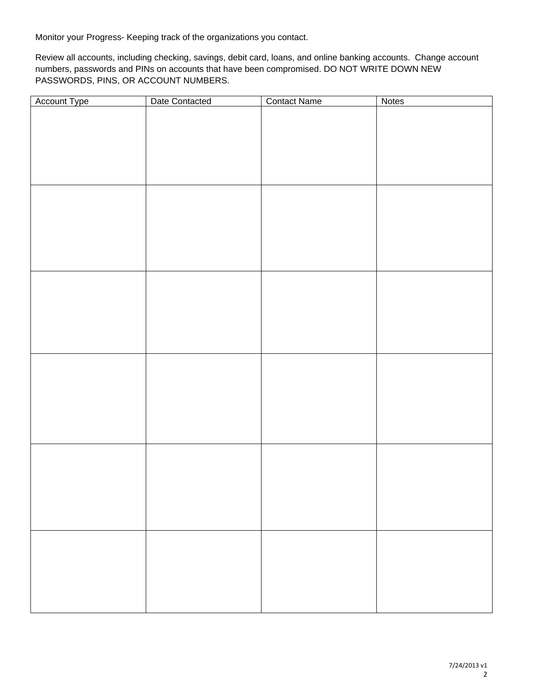Monitor your Progress- Keeping track of the organizations you contact.

Review all accounts, including checking, savings, debit card, loans, and online banking accounts. Change account numbers, passwords and PINs on accounts that have been compromised. DO NOT WRITE DOWN NEW PASSWORDS, PINS, OR ACCOUNT NUMBERS.

| Account Type | Date Contacted | <b>Contact Name</b> | Notes |
|--------------|----------------|---------------------|-------|
|              |                |                     |       |
|              |                |                     |       |
|              |                |                     |       |
|              |                |                     |       |
|              |                |                     |       |
|              |                |                     |       |
|              |                |                     |       |
|              |                |                     |       |
|              |                |                     |       |
|              |                |                     |       |
|              |                |                     |       |
|              |                |                     |       |
|              |                |                     |       |
|              |                |                     |       |
|              |                |                     |       |
|              |                |                     |       |
|              |                |                     |       |
|              |                |                     |       |
|              |                |                     |       |
|              |                |                     |       |
|              |                |                     |       |
|              |                |                     |       |
|              |                |                     |       |
|              |                |                     |       |
|              |                |                     |       |
|              |                |                     |       |
|              |                |                     |       |
|              |                |                     |       |
|              |                |                     |       |
|              |                |                     |       |
|              |                |                     |       |
|              |                |                     |       |
|              |                |                     |       |
|              |                |                     |       |
|              |                |                     |       |
|              |                |                     |       |
|              |                |                     |       |
|              |                |                     |       |
|              |                |                     |       |
|              |                |                     |       |
|              |                |                     |       |
|              |                |                     |       |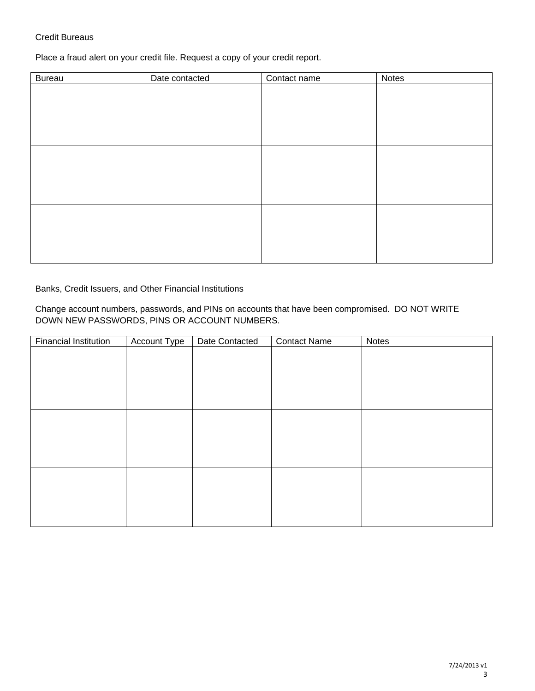#### Credit Bureaus

Place a fraud alert on your credit file. Request a copy of your credit report.

| <b>Bureau</b> | Date contacted | Contact name | Notes |
|---------------|----------------|--------------|-------|
|               |                |              |       |
|               |                |              |       |
|               |                |              |       |
|               |                |              |       |
|               |                |              |       |
|               |                |              |       |
|               |                |              |       |
|               |                |              |       |
|               |                |              |       |
|               |                |              |       |
|               |                |              |       |
|               |                |              |       |
|               |                |              |       |
|               |                |              |       |
|               |                |              |       |

Banks, Credit Issuers, and Other Financial Institutions

Change account numbers, passwords, and PINs on accounts that have been compromised. DO NOT WRITE DOWN NEW PASSWORDS, PINS OR ACCOUNT NUMBERS.

| <b>Financial Institution</b> | Account Type | Date Contacted | <b>Contact Name</b> | <b>Notes</b> |
|------------------------------|--------------|----------------|---------------------|--------------|
|                              |              |                |                     |              |
|                              |              |                |                     |              |
|                              |              |                |                     |              |
|                              |              |                |                     |              |
|                              |              |                |                     |              |
|                              |              |                |                     |              |
|                              |              |                |                     |              |
|                              |              |                |                     |              |
|                              |              |                |                     |              |
|                              |              |                |                     |              |
|                              |              |                |                     |              |
|                              |              |                |                     |              |
|                              |              |                |                     |              |
|                              |              |                |                     |              |
|                              |              |                |                     |              |
|                              |              |                |                     |              |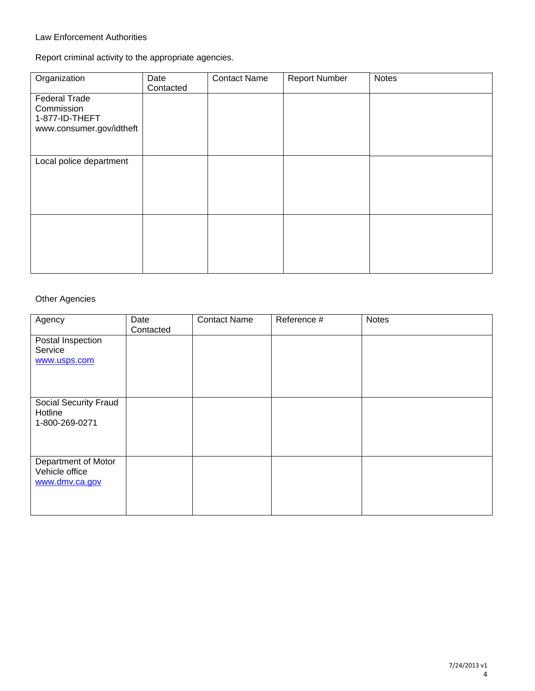### Law Enforcement Authorities

Report criminal activity to the appropriate agencies.

| Organization                                                                     | Date<br>Contacted | <b>Contact Name</b> | <b>Report Number</b> | <b>Notes</b> |
|----------------------------------------------------------------------------------|-------------------|---------------------|----------------------|--------------|
| <b>Federal Trade</b><br>Commission<br>1-877-ID-THEFT<br>www.consumer.gov/idtheft |                   |                     |                      |              |
| Local police department                                                          |                   |                     |                      |              |
|                                                                                  |                   |                     |                      |              |

## Other Agencies

| Agency                                                  | Date<br>Contacted | <b>Contact Name</b> | Reference # | <b>Notes</b> |
|---------------------------------------------------------|-------------------|---------------------|-------------|--------------|
| Postal Inspection<br>Service<br>www.usps.com            |                   |                     |             |              |
| Social Security Fraud<br>Hotline<br>1-800-269-0271      |                   |                     |             |              |
| Department of Motor<br>Vehicle office<br>www.dmv.ca.gov |                   |                     |             |              |